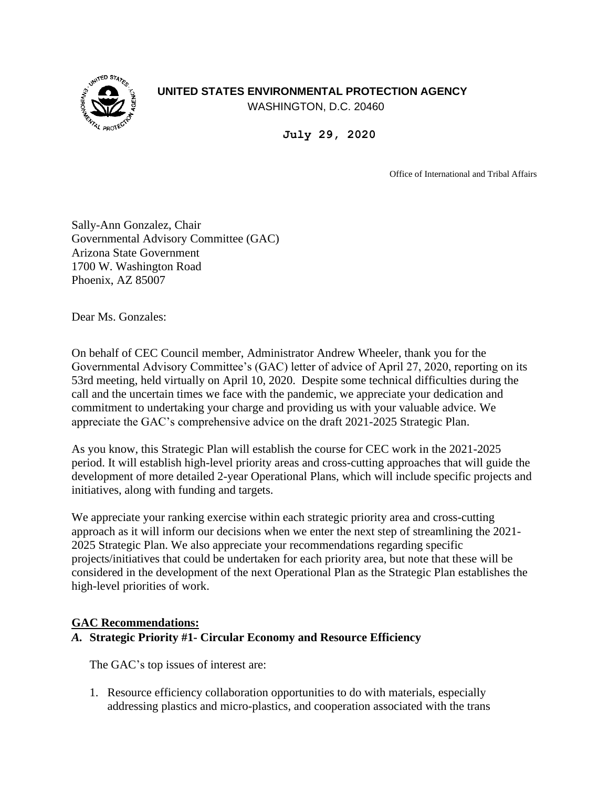## **UNITED STATES ENVIRONMENTAL PROTECTION AGENCY**



WASHINGTON, D.C. 20460

**July 29, 2020**

Office of International and Tribal Affairs

Sally-Ann Gonzalez, Chair Governmental Advisory Committee (GAC) Arizona State Government 1700 W. Washington Road Phoenix, AZ 85007

Dear Ms. Gonzales:

On behalf of CEC Council member, Administrator Andrew Wheeler, thank you for the Governmental Advisory Committee's (GAC) letter of advice of April 27, 2020, reporting on its 53rd meeting, held virtually on April 10, 2020. Despite some technical difficulties during the call and the uncertain times we face with the pandemic, we appreciate your dedication and commitment to undertaking your charge and providing us with your valuable advice. We appreciate the GAC's comprehensive advice on the draft 2021-2025 Strategic Plan.

As you know, this Strategic Plan will establish the course for CEC work in the 2021-2025 period. It will establish high-level priority areas and cross-cutting approaches that will guide the development of more detailed 2-year Operational Plans, which will include specific projects and initiatives, along with funding and targets.

We appreciate your ranking exercise within each strategic priority area and cross-cutting approach as it will inform our decisions when we enter the next step of streamlining the 2021- 2025 Strategic Plan. We also appreciate your recommendations regarding specific projects/initiatives that could be undertaken for each priority area, but note that these will be considered in the development of the next Operational Plan as the Strategic Plan establishes the high-level priorities of work.

## **GAC Recommendations:**

## *A.* **Strategic Priority #1- Circular Economy and Resource Efficiency**

The GAC's top issues of interest are:

1. Resource efficiency collaboration opportunities to do with materials, especially addressing plastics and micro-plastics, and cooperation associated with the trans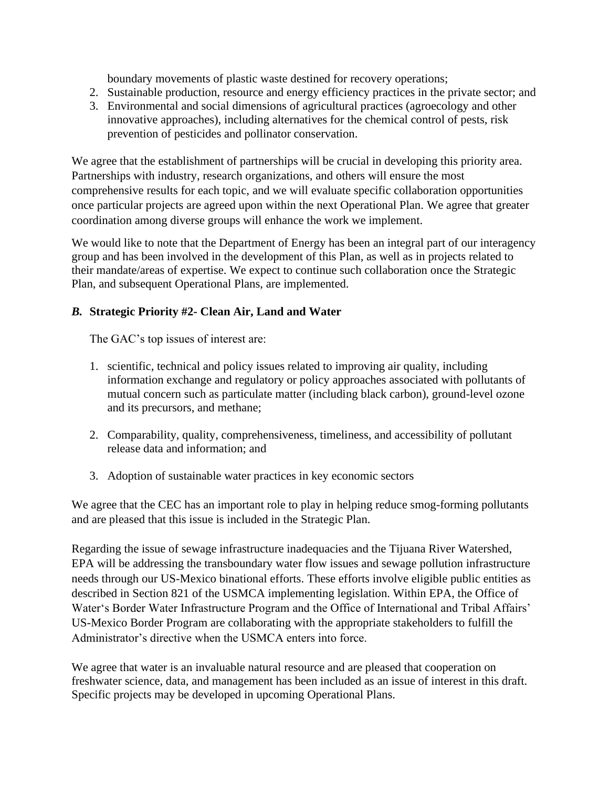boundary movements of plastic waste destined for recovery operations;

- 2. Sustainable production, resource and energy efficiency practices in the private sector; and
- 3. Environmental and social dimensions of agricultural practices (agroecology and other innovative approaches), including alternatives for the chemical control of pests, risk prevention of pesticides and pollinator conservation.

We agree that the establishment of partnerships will be crucial in developing this priority area. Partnerships with industry, research organizations, and others will ensure the most comprehensive results for each topic, and we will evaluate specific collaboration opportunities once particular projects are agreed upon within the next Operational Plan. We agree that greater coordination among diverse groups will enhance the work we implement.

We would like to note that the Department of Energy has been an integral part of our interagency group and has been involved in the development of this Plan, as well as in projects related to their mandate/areas of expertise. We expect to continue such collaboration once the Strategic Plan, and subsequent Operational Plans, are implemented.

# *B.* **Strategic Priority #2- Clean Air, Land and Water**

The GAC's top issues of interest are:

- 1. scientific, technical and policy issues related to improving air quality, including information exchange and regulatory or policy approaches associated with pollutants of mutual concern such as particulate matter (including black carbon), ground-level ozone and its precursors, and methane;
- 2. Comparability, quality, comprehensiveness, timeliness, and accessibility of pollutant release data and information; and
- 3. Adoption of sustainable water practices in key economic sectors

We agree that the CEC has an important role to play in helping reduce smog-forming pollutants and are pleased that this issue is included in the Strategic Plan.

Regarding the issue of sewage infrastructure inadequacies and the Tijuana River Watershed, EPA will be addressing the transboundary water flow issues and sewage pollution infrastructure needs through our US-Mexico binational efforts. These efforts involve eligible public entities as described in Section 821 of the USMCA implementing legislation. Within EPA, the Office of Water's Border Water Infrastructure Program and the Office of International and Tribal Affairs' US-Mexico Border Program are collaborating with the appropriate stakeholders to fulfill the Administrator's directive when the USMCA enters into force.

We agree that water is an invaluable natural resource and are pleased that cooperation on freshwater science, data, and management has been included as an issue of interest in this draft. Specific projects may be developed in upcoming Operational Plans.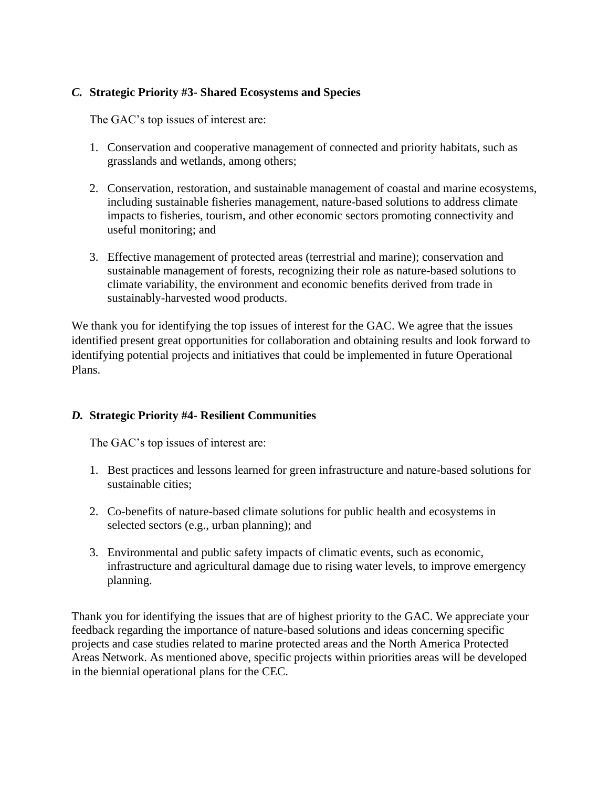## *C.* **Strategic Priority #3- Shared Ecosystems and Species**

The GAC's top issues of interest are:

- 1. Conservation and cooperative management of connected and priority habitats, such as grasslands and wetlands, among others;
- 2. Conservation, restoration, and sustainable management of coastal and marine ecosystems, including sustainable fisheries management, nature-based solutions to address climate impacts to fisheries, tourism, and other economic sectors promoting connectivity and useful monitoring; and
- 3. Effective management of protected areas (terrestrial and marine); conservation and sustainable management of forests, recognizing their role as nature-based solutions to climate variability, the environment and economic benefits derived from trade in sustainably-harvested wood products.

We thank you for identifying the top issues of interest for the GAC. We agree that the issues identified present great opportunities for collaboration and obtaining results and look forward to identifying potential projects and initiatives that could be implemented in future Operational Plans.

## *D.* **Strategic Priority #4- Resilient Communities**

The GAC's top issues of interest are:

- 1. Best practices and lessons learned for green infrastructure and nature-based solutions for sustainable cities;
- 2. Co-benefits of nature-based climate solutions for public health and ecosystems in selected sectors (e.g., urban planning); and
- 3. Environmental and public safety impacts of climatic events, such as economic, infrastructure and agricultural damage due to rising water levels, to improve emergency planning.

Thank you for identifying the issues that are of highest priority to the GAC. We appreciate your feedback regarding the importance of nature-based solutions and ideas concerning specific projects and case studies related to marine protected areas and the North America Protected Areas Network. As mentioned above, specific projects within priorities areas will be developed in the biennial operational plans for the CEC.